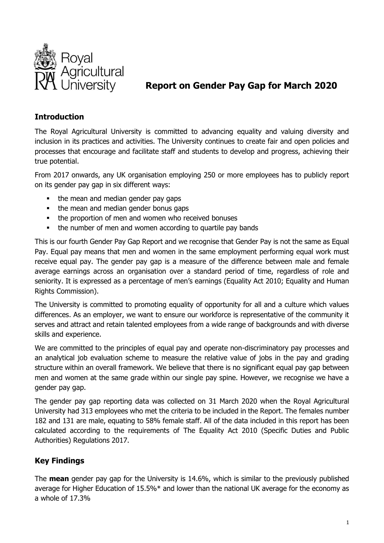

# **Report on Gender Pay Gap for March 2020**

### **Introduction**

The Royal Agricultural University is committed to advancing equality and valuing diversity and inclusion in its practices and activities. The University continues to create fair and open policies and processes that encourage and facilitate staff and students to develop and progress, achieving their true potential.

From 2017 onwards, any UK organisation employing 250 or more employees has to publicly report on its gender pay gap in six different ways:

- the mean and median gender pay gaps
- the mean and median gender bonus gaps
- the proportion of men and women who received bonuses
- the number of men and women according to quartile pay bands

This is our fourth Gender Pay Gap Report and we recognise that Gender Pay is not the same as Equal Pay. Equal pay means that men and women in the same employment performing equal work must receive equal pay. The gender pay gap is a measure of the difference between male and female average earnings across an organisation over a standard period of time, regardless of role and seniority. It is expressed as a percentage of men's earnings (Equality Act 2010; Equality and Human Rights Commission).

The University is committed to promoting equality of opportunity for all and a culture which values differences. As an employer, we want to ensure our workforce is representative of the community it serves and attract and retain talented employees from a wide range of backgrounds and with diverse skills and experience.

We are committed to the principles of equal pay and operate non-discriminatory pay processes and an analytical job evaluation scheme to measure the relative value of jobs in the pay and grading structure within an overall framework. We believe that there is no significant equal pay gap between men and women at the same grade within our single pay spine. However, we recognise we have a gender pay gap.

The gender pay gap reporting data was collected on 31 March 2020 when the Royal Agricultural University had 313 employees who met the criteria to be included in the Report. The females number 182 and 131 are male, equating to 58% female staff. All of the data included in this report has been calculated according to the requirements of The Equality Act 2010 (Specific Duties and Public Authorities) Regulations 2017.

# **Key Findings**

The **mean** gender pay gap for the University is 14.6%, which is similar to the previously published average for Higher Education of 15.5%\* and lower than the national UK average for the economy as a whole of 17.3%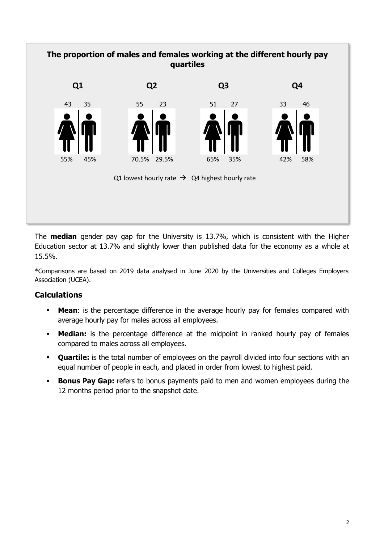

The **median** gender pay gap for the University is 13.7%, which is consistent with the Higher Education sector at 13.7% and slightly lower than published data for the economy as a whole at 15.5%.

\*Comparisons are based on 2019 data analysed in June 2020 by the Universities and Colleges Employers Association (UCEA).

### **Calculations**

- **Mean**: is the percentage difference in the average hourly pay for females compared with average hourly pay for males across all employees.
- **Median:** is the percentage difference at the midpoint in ranked hourly pay of females compared to males across all employees.
- **Quartile:** is the total number of employees on the payroll divided into four sections with an equal number of people in each, and placed in order from lowest to highest paid.
- **Bonus Pay Gap:** refers to bonus payments paid to men and women employees during the 12 months period prior to the snapshot date.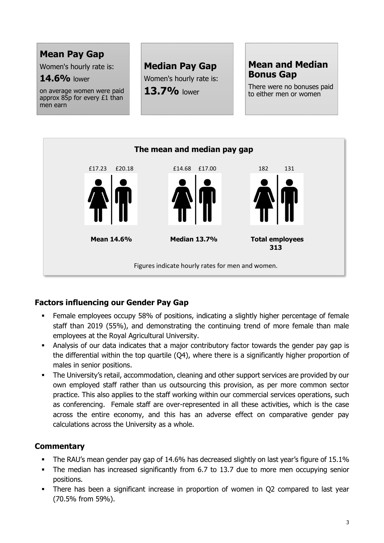# **Mean Pay Gap**

Women's hourly rate is:

### **14.6%** lower

on average women were paid approx 85p for every £1 than men earn

# **Median Pay Gap**

Women's hourly rate is: **13.7%** lower

# **Mean and Median Bonus Gap**

There were no bonuses paid to either men or women



# **Factors influencing our Gender Pay Gap**

- Female employees occupy 58% of positions, indicating a slightly higher percentage of female staff than 2019 (55%), and demonstrating the continuing trend of more female than male employees at the Royal Agricultural University.
- Analysis of our data indicates that a major contributory factor towards the gender pay gap is the differential within the top quartile (Q4), where there is a significantly higher proportion of males in senior positions.
- **The University's retail, accommodation, cleaning and other support services are provided by our** own employed staff rather than us outsourcing this provision, as per more common sector practice. This also applies to the staff working within our commercial services operations, such as conferencing. Female staff are over-represented in all these activities, which is the case across the entire economy, and this has an adverse effect on comparative gender pay calculations across the University as a whole.

# **Commentary**

- The RAU's mean gender pay gap of 14.6% has decreased slightly on last year's figure of 15.1%
- The median has increased significantly from 6.7 to 13.7 due to more men occupying senior positions.
- There has been a significant increase in proportion of women in Q2 compared to last year (70.5% from 59%).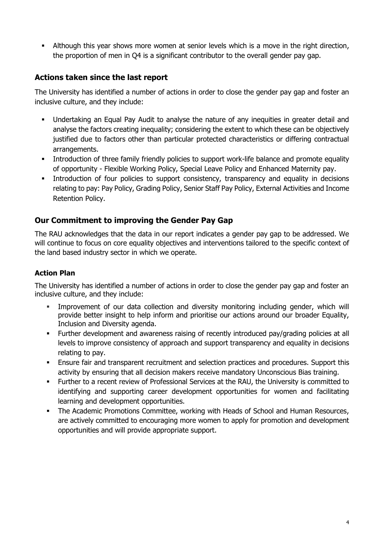Although this year shows more women at senior levels which is a move in the right direction, the proportion of men in Q4 is a significant contributor to the overall gender pay gap.

### **Actions taken since the last report**

The University has identified a number of actions in order to close the gender pay gap and foster an inclusive culture, and they include:

- Undertaking an Equal Pay Audit to analyse the nature of any inequities in greater detail and analyse the factors creating inequality; considering the extent to which these can be objectively justified due to factors other than particular protected characteristics or differing contractual arrangements.
- **Introduction of three family friendly policies to support work-life balance and promote equality** of opportunity - Flexible Working Policy, Special Leave Policy and Enhanced Maternity pay.
- Introduction of four policies to support consistency, transparency and equality in decisions relating to pay: Pay Policy, Grading Policy, Senior Staff Pay Policy, External Activities and Income Retention Policy.

### **Our Commitment to improving the Gender Pay Gap**

The RAU acknowledges that the data in our report indicates a gender pay gap to be addressed. We will continue to focus on core equality objectives and interventions tailored to the specific context of the land based industry sector in which we operate.

### **Action Plan**

The University has identified a number of actions in order to close the gender pay gap and foster an inclusive culture, and they include:

- Improvement of our data collection and diversity monitoring including gender, which will provide better insight to help inform and prioritise our actions around our broader Equality, Inclusion and Diversity agenda.
- Further development and awareness raising of recently introduced pay/grading policies at all levels to improve consistency of approach and support transparency and equality in decisions relating to pay.
- Ensure fair and transparent recruitment and selection practices and procedures. Support this activity by ensuring that all decision makers receive mandatory Unconscious Bias training.
- Further to a recent review of Professional Services at the RAU, the University is committed to identifying and supporting career development opportunities for women and facilitating learning and development opportunities.
- The Academic Promotions Committee, working with Heads of School and Human Resources, are actively committed to encouraging more women to apply for promotion and development opportunities and will provide appropriate support.